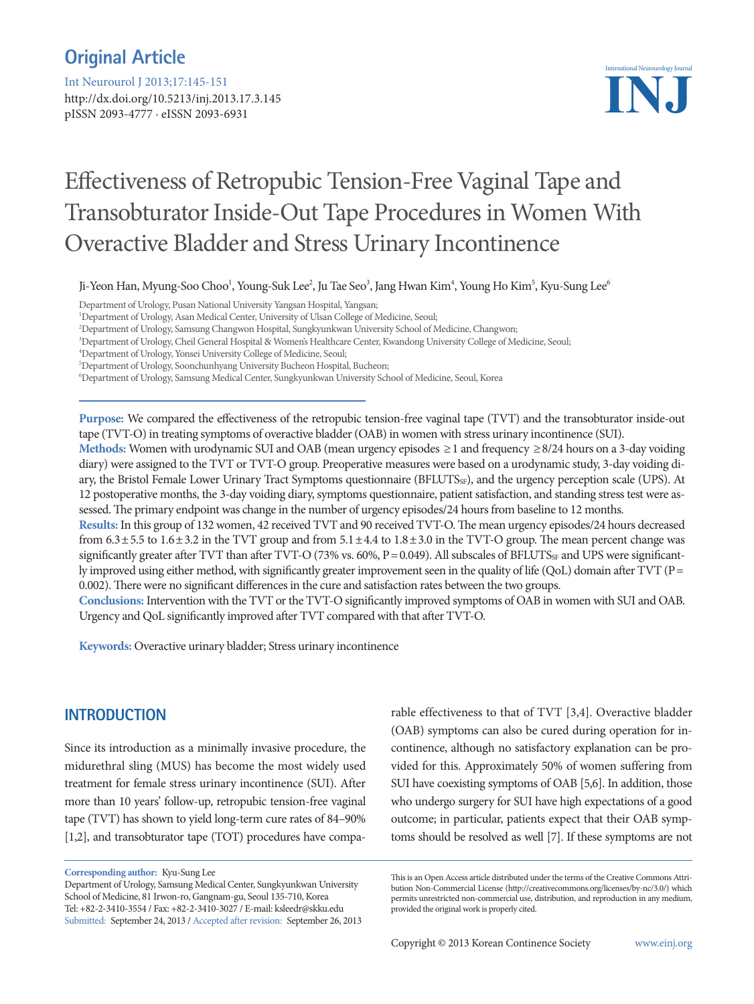# **Original Article**

Int Neurourol J 2013;17:145-151

http://dx.doi.org/10.5213/inj.2013.17.3.145 pISSN 2093-4777 · eISSN 2093-6931



# Effectiveness of Retropubic Tension-Free Vaginal Tape and Transobturator Inside-Out Tape Procedures in Women With Overactive Bladder and Stress Urinary Incontinence

Ji-Yeon Han, Myung-Soo Choo<sup>1</sup>, Young-Suk Lee<sup>2</sup>, Ju Tae Seo<sup>3</sup>, Jang Hwan Kim<sup>4</sup>, Young Ho Kim<sup>5</sup>, Kyu-Sung Lee<sup>6</sup>

Department of Urology, Pusan National University Yangsan Hospital, Yangsan;

3 Department of Urology, Cheil General Hospital & Women's Healthcare Center, Kwandong University College of Medicine, Seoul;

4 Department of Urology, Yonsei University College of Medicine, Seoul;

5 Department of Urology, Soonchunhyang University Bucheon Hospital, Bucheon;

6 Department of Urology, Samsung Medical Center, Sungkyunkwan University School of Medicine, Seoul, Korea

**Purpose:** We compared the effectiveness of the retropubic tension-free vaginal tape (TVT) and the transobturator inside-out tape (TVT-O) in treating symptoms of overactive bladder (OAB) in women with stress urinary incontinence (SUI).

**Methods:** Women with urodynamic SUI and OAB (mean urgency episodes ≥1 and frequency ≥8/24 hours on a 3-day voiding diary) were assigned to the TVT or TVT-O group. Preoperative measures were based on a urodynamic study, 3-day voiding diary, the Bristol Female Lower Urinary Tract Symptoms questionnaire (BFLUTS<sub>SF</sub>), and the urgency perception scale (UPS). At 12 postoperative months, the 3-day voiding diary, symptoms questionnaire, patient satisfaction, and standing stress test were assessed. The primary endpoint was change in the number of urgency episodes/24 hours from baseline to 12 months.

**Results:** In this group of 132 women, 42 received TVT and 90 received TVT-O. The mean urgency episodes/24 hours decreased from  $6.3 \pm 5.5$  to  $1.6 \pm 3.2$  in the TVT group and from  $5.1 \pm 4.4$  to  $1.8 \pm 3.0$  in the TVT-O group. The mean percent change was significantly greater after TVT than after TVT-O (73% vs. 60%,  $P = 0.049$ ). All subscales of BFLUTS $_{SF}$  and UPS were significantly improved using either method, with significantly greater improvement seen in the quality of life (QoL) domain after TVT (P= 0.002). There were no significant differences in the cure and satisfaction rates between the two groups.

**Conclusions:** Intervention with the TVT or the TVT-O significantly improved symptoms of OAB in women with SUI and OAB. Urgency and QoL significantly improved after TVT compared with that after TVT-O.

**Keywords:** Overactive urinary bladder; Stress urinary incontinence

#### **INTRODUCTION**

Since its introduction as a minimally invasive procedure, the midurethral sling (MUS) has become the most widely used treatment for female stress urinary incontinence (SUI). After more than 10 years' follow-up, retropubic tension-free vaginal tape (TVT) has shown to yield long-term cure rates of 84–90% [1,2], and transobturator tape (TOT) procedures have compa-

**Corresponding author:** Kyu-Sung Lee

Department of Urology, Samsung Medical Center, Sungkyunkwan University School of Medicine, 81 Irwon-ro, Gangnam-gu, Seoul 135-710, Korea Tel: +82-2-3410-3554 / Fax: +82-2-3410-3027 / E-mail: ksleedr@skku.edu Submitted: September 24, 2013 / Accepted after revision: September 26, 2013

rable effectiveness to that of TVT [3,4]. Overactive bladder (OAB) symptoms can also be cured during operation for incontinence, although no satisfactory explanation can be provided for this. Approximately 50% of women suffering from SUI have coexisting symptoms of OAB [5,6]. In addition, those who undergo surgery for SUI have high expectations of a good outcome; in particular, patients expect that their OAB symptoms should be resolved as well [7]. If these symptoms are not

Copyright © 2013 Korean Continence Society www.einj.org

<sup>1</sup> Department of Urology, Asan Medical Center, University of Ulsan College of Medicine, Seoul;

<sup>2</sup> Department of Urology, Samsung Changwon Hospital, Sungkyunkwan University School of Medicine, Changwon;

This is an Open Access article distributed under the terms of the Creative Commons Attribution Non-Commercial License (http://creativecommons.org/licenses/by-nc/3.0/) which permits unrestricted non-commercial use, distribution, and reproduction in any medium, provided the original work is properly cited.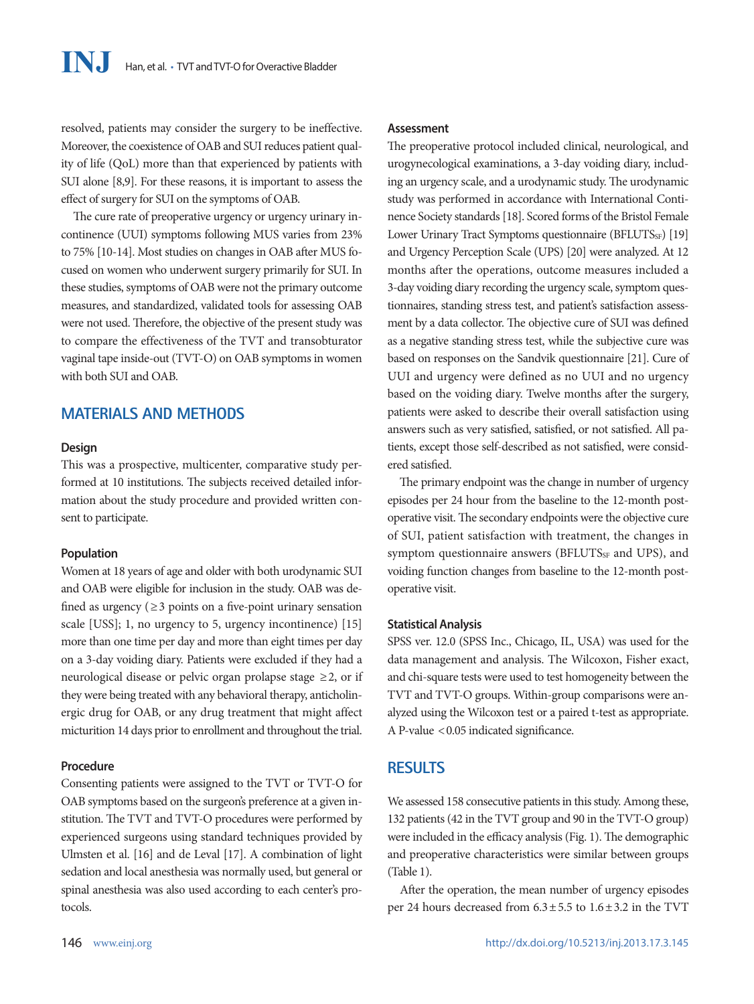resolved, patients may consider the surgery to be ineffective. Moreover, the coexistence of OAB and SUI reduces patient quality of life (QoL) more than that experienced by patients with SUI alone [8,9]. For these reasons, it is important to assess the effect of surgery for SUI on the symptoms of OAB.

The cure rate of preoperative urgency or urgency urinary incontinence (UUI) symptoms following MUS varies from 23% to 75% [10-14]. Most studies on changes in OAB after MUS focused on women who underwent surgery primarily for SUI. In these studies, symptoms of OAB were not the primary outcome measures, and standardized, validated tools for assessing OAB were not used. Therefore, the objective of the present study was to compare the effectiveness of the TVT and transobturator vaginal tape inside-out (TVT-O) on OAB symptoms in women with both SUI and OAB.

# **MATERIALS AND METHODS**

#### **Design**

This was a prospective, multicenter, comparative study performed at 10 institutions. The subjects received detailed information about the study procedure and provided written consent to participate.

#### **Population**

Women at 18 years of age and older with both urodynamic SUI and OAB were eligible for inclusion in the study. OAB was defined as urgency ( $\geq$ 3 points on a five-point urinary sensation scale [USS]; 1, no urgency to 5, urgency incontinence) [15] more than one time per day and more than eight times per day on a 3-day voiding diary. Patients were excluded if they had a neurological disease or pelvic organ prolapse stage  $\geq$  2, or if they were being treated with any behavioral therapy, anticholinergic drug for OAB, or any drug treatment that might affect micturition 14 days prior to enrollment and throughout the trial.

#### **Procedure**

Consenting patients were assigned to the TVT or TVT-O for OAB symptoms based on the surgeon's preference at a given institution. The TVT and TVT-O procedures were performed by experienced surgeons using standard techniques provided by Ulmsten et al. [16] and de Leval [17]. A combination of light sedation and local anesthesia was normally used, but general or spinal anesthesia was also used according to each center's protocols.

# 146 www.einj.org

#### **Assessment**

The preoperative protocol included clinical, neurological, and urogynecological examinations, a 3-day voiding diary, including an urgency scale, and a urodynamic study. The urodynamic study was performed in accordance with International Continence Society standards [18]. Scored forms of the Bristol Female Lower Urinary Tract Symptoms questionnaire (BFLUTS<sub>SF</sub>) [19] and Urgency Perception Scale (UPS) [20] were analyzed. At 12 months after the operations, outcome measures included a 3-day voiding diary recording the urgency scale, symptom questionnaires, standing stress test, and patient's satisfaction assessment by a data collector. The objective cure of SUI was defined as a negative standing stress test, while the subjective cure was based on responses on the Sandvik questionnaire [21]. Cure of UUI and urgency were defined as no UUI and no urgency based on the voiding diary. Twelve months after the surgery, patients were asked to describe their overall satisfaction using answers such as very satisfied, satisfied, or not satisfied. All patients, except those self-described as not satisfied, were considered satisfied.

The primary endpoint was the change in number of urgency episodes per 24 hour from the baseline to the 12-month postoperative visit. The secondary endpoints were the objective cure of SUI, patient satisfaction with treatment, the changes in symptom questionnaire answers (BFLUTS<sub>SF</sub> and UPS), and voiding function changes from baseline to the 12-month postoperative visit.

#### **Statistical Analysis**

SPSS ver. 12.0 (SPSS Inc., Chicago, IL, USA) was used for the data management and analysis. The Wilcoxon, Fisher exact, and chi-square tests were used to test homogeneity between the TVT and TVT-O groups. Within-group comparisons were analyzed using the Wilcoxon test or a paired t-test as appropriate. A P-value <0.05 indicated significance.

#### **RESULTS**

We assessed 158 consecutive patients in this study. Among these, 132 patients (42 in the TVT group and 90 in the TVT-O group) were included in the efficacy analysis (Fig. 1). The demographic and preoperative characteristics were similar between groups (Table 1).

After the operation, the mean number of urgency episodes per 24 hours decreased from 6.3±5.5 to 1.6±3.2 in the TVT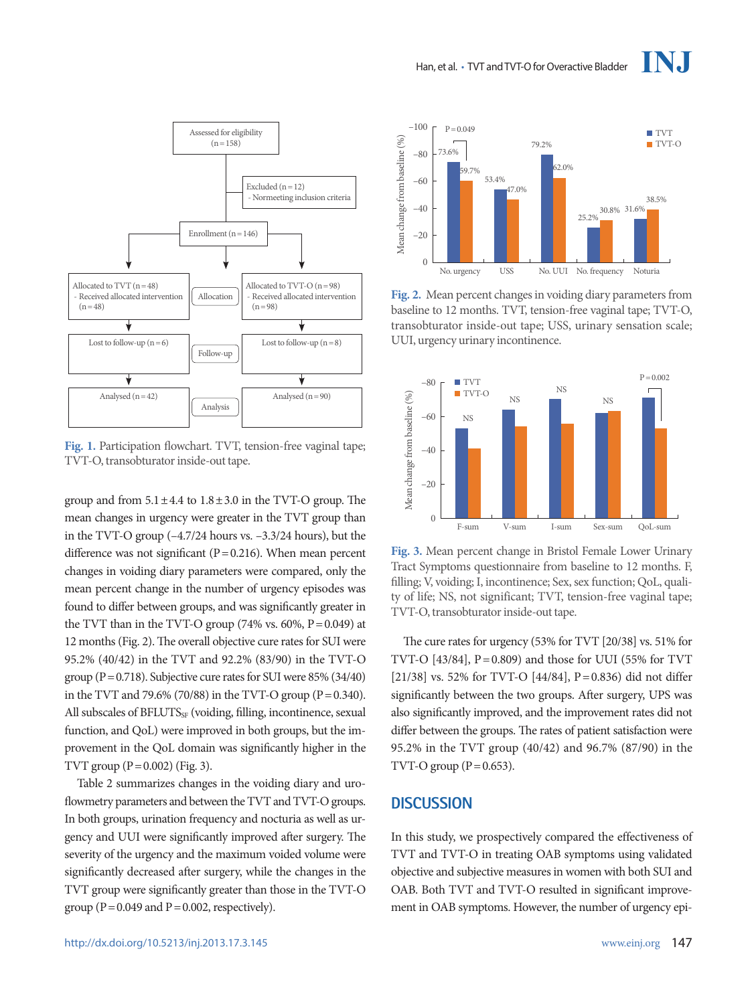

**Fig. 1.** Participation flowchart. TVT, tension-free vaginal tape;

TVT-O, transobturator inside-out tape.

group and from  $5.1 \pm 4.4$  to  $1.8 \pm 3.0$  in the TVT-O group. The mean changes in urgency were greater in the TVT group than in the TVT-O group (–4.7/24 hours vs. –3.3/24 hours), but the difference was not significant ( $P = 0.216$ ). When mean percent changes in voiding diary parameters were compared, only the mean percent change in the number of urgency episodes was found to differ between groups, and was significantly greater in the TVT than in the TVT-O group  $(74\% \text{ vs. } 60\%, P=0.049)$  at 12 months (Fig. 2). The overall objective cure rates for SUI were 95.2% (40/42) in the TVT and 92.2% (83/90) in the TVT-O group (P =  $0.718$ ). Subjective cure rates for SUI were 85% (34/40) in the TVT and 79.6% (70/88) in the TVT-O group (P =  $0.340$ ). All subscales of BFLUTS<sub>SF</sub> (voiding, filling, incontinence, sexual function, and QoL) were improved in both groups, but the improvement in the QoL domain was significantly higher in the TVT group  $(P = 0.002)$  (Fig. 3).

Table 2 summarizes changes in the voiding diary and uroflowmetry parameters and between the TVT and TVT-O groups. In both groups, urination frequency and nocturia as well as urgency and UUI were significantly improved after surgery. The severity of the urgency and the maximum voided volume were significantly decreased after surgery, while the changes in the TVT group were significantly greater than those in the TVT-O group ( $P = 0.049$  and  $P = 0.002$ , respectively).



**Fig. 2.** Mean percent changes in voiding diary parameters from baseline to 12 months. TVT, tension-free vaginal tape; TVT-O, transobturator inside-out tape; USS, urinary sensation scale;



**Fig. 3.** Mean percent change in Bristol Female Lower Urinary Tract Symptoms questionnaire from baseline to 12 months. F, filling; V, voiding; I, incontinence; Sex, sex function; QoL, quality of life; NS, not significant; TVT, tension-free vaginal tape;

The cure rates for urgency (53% for TVT [20/38] vs. 51% for TVT-O  $[43/84]$ ,  $P=0.809$ ) and those for UUI (55% for TVT [21/38] vs. 52% for TVT-O [44/84], P=0.836) did not differ significantly between the two groups. After surgery, UPS was also significantly improved, and the improvement rates did not differ between the groups. The rates of patient satisfaction were 95.2% in the TVT group (40/42) and 96.7% (87/90) in the TVT-O group  $(P=0.653)$ .

### **DISCUSSION**

In this study, we prospectively compared the effectiveness of TVT and TVT-O in treating OAB symptoms using validated objective and subjective measures in women with both SUI and OAB. Both TVT and TVT-O resulted in significant improvement in OAB symptoms. However, the number of urgency epi-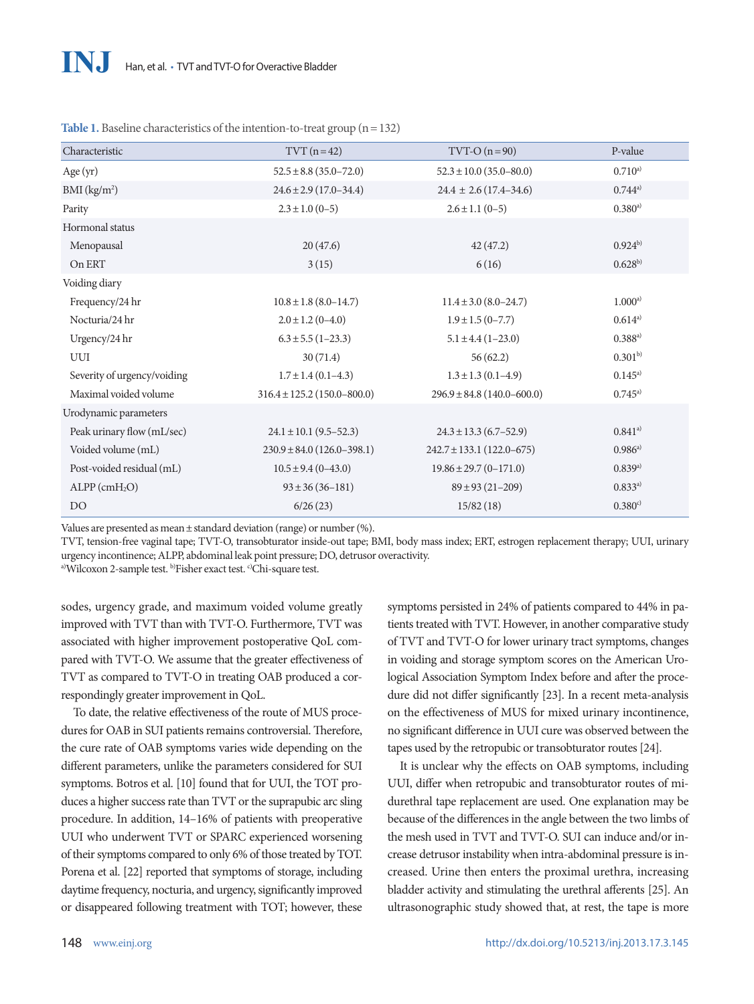| Characteristic              | $TVT(n=42)$                                               | $TVT-O (n=90)$                 | P-value      |
|-----------------------------|-----------------------------------------------------------|--------------------------------|--------------|
| Age $(yr)$                  | $52.5 \pm 8.8 (35.0 - 72.0)$                              | $52.3 \pm 10.0$ (35.0-80.0)    | $0.710^{a}$  |
| BMI (kg/m <sup>2</sup> )    | $24.4 \pm 2.6(17.4 - 34.6)$<br>$24.6 \pm 2.9$ (17.0-34.4) |                                | 0.744a       |
| Parity                      | $2.3 \pm 1.0$ (0-5)<br>$2.6 \pm 1.1$ (0-5)                |                                | $0.380^{a}$  |
| Hormonal status             |                                                           |                                |              |
| Menopausal                  | 20(47.6)                                                  | 42(47.2)                       | $0.924^{b}$  |
| On ERT                      | 3(15)                                                     | 6(16)                          | $0.628^{b}$  |
| Voiding diary               |                                                           |                                |              |
| Frequency/24 hr             | $10.8 \pm 1.8$ (8.0-14.7)                                 | $11.4 \pm 3.0$ (8.0–24.7)      | $1.000^{a)}$ |
| Nocturia/24 hr              | $2.0 \pm 1.2$ (0-4.0)                                     | $1.9 \pm 1.5(0 - 7.7)$         |              |
| Urgency/24 hr               | $6.3 \pm 5.5(1-23.3)$                                     | $5.1 \pm 4.4 (1 - 23.0)$       | $0.388^{a)}$ |
| UUI                         | 30(71.4)                                                  | 56(62.2)                       |              |
| Severity of urgency/voiding | $1.7 \pm 1.4$ (0.1-4.3)                                   | $1.3 \pm 1.3$ (0.1-4.9)        |              |
| Maximal voided volume       | $316.4 \pm 125.2$ (150.0-800.0)                           | $296.9 \pm 84.8$ (140.0-600.0) | $0.745^{a}$  |
| Urodynamic parameters       |                                                           |                                |              |
| Peak urinary flow (mL/sec)  | $24.1 \pm 10.1$ (9.5–52.3)                                | $24.3 \pm 13.3$ (6.7-52.9)     | $0.841^{a}$  |
| Voided volume (mL)          | $230.9 \pm 84.0 (126.0 - 398.1)$                          | $242.7 \pm 133.1$ (122.0–675)  | $0.986^{a)}$ |
| Post-voided residual (mL)   | $10.5 \pm 9.4 (0 - 43.0)$                                 | $19.86 \pm 29.7 (0 - 171.0)$   | 0.839a)      |
| $ALPP$ (cm $H_2O$ )         | $93 \pm 36 (36 - 181)$                                    | $89 \pm 93 (21 - 209)$         | 0.833a)      |
| D <sub>O</sub>              | 6/26(23)                                                  | 15/82(18)                      | $0.380^{c}$  |

Table 1. Baseline characteristics of the intention-to-treat group (n = 132)

Values are presented as mean±standard deviation (range) or number (%).

TVT, tension-free vaginal tape; TVT-O, transobturator inside-out tape; BMI, body mass index; ERT, estrogen replacement therapy; UUI, urinary urgency incontinence; ALPP, abdominal leak point pressure; DO, detrusor overactivity.

a)Wilcoxon 2-sample test. b)Fisher exact test. c)Chi-square test.

sodes, urgency grade, and maximum voided volume greatly improved with TVT than with TVT-O. Furthermore, TVT was associated with higher improvement postoperative QoL compared with TVT-O. We assume that the greater effectiveness of TVT as compared to TVT-O in treating OAB produced a correspondingly greater improvement in QoL.

To date, the relative effectiveness of the route of MUS procedures for OAB in SUI patients remains controversial. Therefore, the cure rate of OAB symptoms varies wide depending on the different parameters, unlike the parameters considered for SUI symptoms. Botros et al. [10] found that for UUI, the TOT produces a higher success rate than TVT or the suprapubic arc sling procedure. In addition, 14–16% of patients with preoperative UUI who underwent TVT or SPARC experienced worsening of their symptoms compared to only 6% of those treated by TOT. Porena et al. [22] reported that symptoms of storage, including daytime frequency, nocturia, and urgency, significantly improved or disappeared following treatment with TOT; however, these

symptoms persisted in 24% of patients compared to 44% in patients treated with TVT. However, in another comparative study of TVT and TVT-O for lower urinary tract symptoms, changes in voiding and storage symptom scores on the American Urological Association Symptom Index before and after the procedure did not differ significantly [23]. In a recent meta-analysis on the effectiveness of MUS for mixed urinary incontinence, no significant difference in UUI cure was observed between the tapes used by the retropubic or transobturator routes [24].

It is unclear why the effects on OAB symptoms, including UUI, differ when retropubic and transobturator routes of midurethral tape replacement are used. One explanation may be because of the differences in the angle between the two limbs of the mesh used in TVT and TVT-O. SUI can induce and/or increase detrusor instability when intra-abdominal pressure is increased. Urine then enters the proximal urethra, increasing bladder activity and stimulating the urethral afferents [25]. An ultrasonographic study showed that, at rest, the tape is more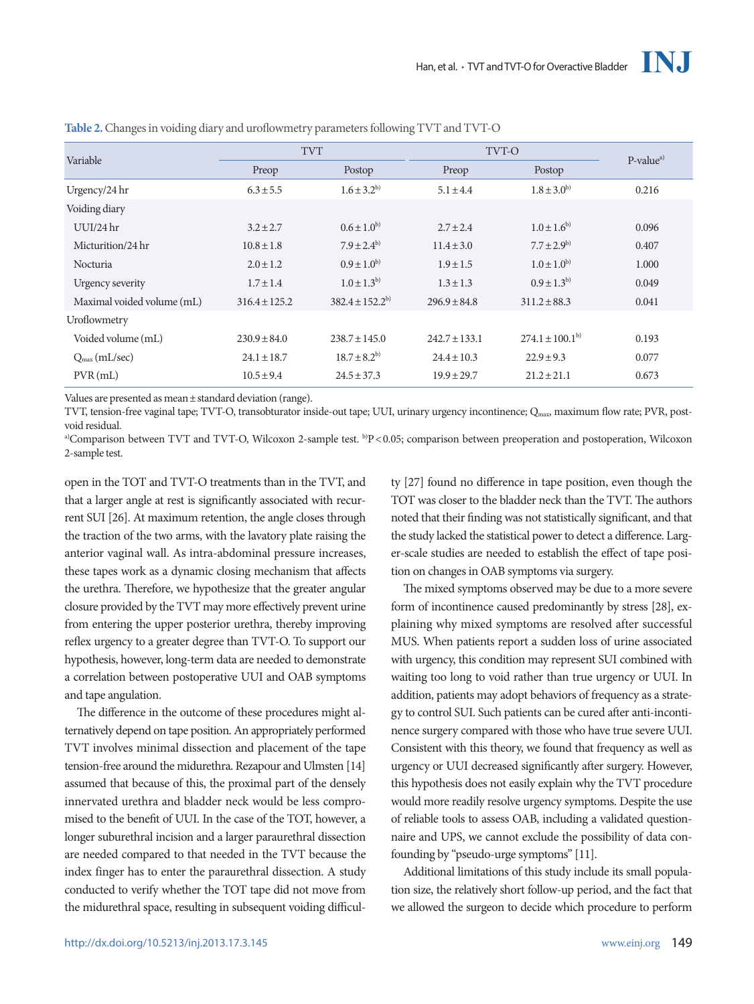| Variable                   | <b>TVT</b>        |                       | TVT-O             |                       | $P-valuea$ |
|----------------------------|-------------------|-----------------------|-------------------|-----------------------|------------|
|                            | Preop             | Postop                | Preop             | Postop                |            |
| Urgency/24 hr              | $6.3 \pm 5.5$     | $1.6 \pm 3.2^{b}$     | $5.1 \pm 4.4$     | $1.8 \pm 3.0^{b}$     | 0.216      |
| Voiding diary              |                   |                       |                   |                       |            |
| $UUI/24$ hr                | $3.2 \pm 2.7$     | $0.6 \pm 1.0^{b}$     | $2.7 \pm 2.4$     | $1.0 \pm 1.6^{b}$     | 0.096      |
| Micturition/24 hr          | $10.8 \pm 1.8$    | $7.9 \pm 2.4^{b}$     | $11.4 \pm 3.0$    | $7.7 \pm 2.9^{b}$     | 0.407      |
| Nocturia                   | $2.0 \pm 1.2$     | $0.9 \pm 1.0^{b}$     | $1.9 \pm 1.5$     | $1.0 \pm 1.0^{b}$     | 1.000      |
| Urgency severity           | $1.7 \pm 1.4$     | $1.0 \pm 1.3^{b}$     | $1.3 \pm 1.3$     | $0.9 \pm 1.3^{b}$     | 0.049      |
| Maximal voided volume (mL) | $316.4 \pm 125.2$ | $382.4 \pm 152.2^{b}$ | $296.9 \pm 84.8$  | $311.2 \pm 88.3$      | 0.041      |
| Uroflowmetry               |                   |                       |                   |                       |            |
| Voided volume (mL)         | $230.9 \pm 84.0$  | $238.7 \pm 145.0$     | $242.7 \pm 133.1$ | $274.1 \pm 100.1^{b}$ | 0.193      |
| $Q_{\text{max}}$ (mL/sec)  | $24.1 \pm 18.7$   | $18.7 \pm 8.2^{b}$    | $24.4 \pm 10.3$   | $22.9 \pm 9.3$        | 0.077      |
| $PVR$ (mL)                 | $10.5 \pm 9.4$    | $24.5 \pm 37.3$       | $19.9 \pm 29.7$   | $21.2 \pm 21.1$       | 0.673      |

**Table 2.** Changes in voiding diary and uroflowmetry parameters following TVT and TVT-O

Values are presented as mean±standard deviation (range).

TVT, tension-free vaginal tape; TVT-O, transobturator inside-out tape; UUI, urinary urgency incontinence; Qmax, maximum flow rate; PVR, postvoid residual.

a)Comparison between TVT and TVT-O, Wilcoxon 2-sample test.  ${}^{b}P$  < 0.05; comparison between preoperation and postoperation, Wilcoxon 2-sample test.

open in the TOT and TVT-O treatments than in the TVT, and that a larger angle at rest is significantly associated with recurrent SUI [26]. At maximum retention, the angle closes through the traction of the two arms, with the lavatory plate raising the anterior vaginal wall. As intra-abdominal pressure increases, these tapes work as a dynamic closing mechanism that affects the urethra. Therefore, we hypothesize that the greater angular closure provided by the TVT may more effectively prevent urine from entering the upper posterior urethra, thereby improving reflex urgency to a greater degree than TVT-O. To support our hypothesis, however, long-term data are needed to demonstrate a correlation between postoperative UUI and OAB symptoms and tape angulation.

The difference in the outcome of these procedures might alternatively depend on tape position. An appropriately performed TVT involves minimal dissection and placement of the tape tension-free around the midurethra. Rezapour and Ulmsten [14] assumed that because of this, the proximal part of the densely innervated urethra and bladder neck would be less compromised to the benefit of UUI. In the case of the TOT, however, a longer suburethral incision and a larger paraurethral dissection are needed compared to that needed in the TVT because the index finger has to enter the paraurethral dissection. A study conducted to verify whether the TOT tape did not move from the midurethral space, resulting in subsequent voiding difficul-

ty [27] found no difference in tape position, even though the TOT was closer to the bladder neck than the TVT. The authors noted that their finding was not statistically significant, and that the study lacked the statistical power to detect a difference. Larger-scale studies are needed to establish the effect of tape position on changes in OAB symptoms via surgery.

The mixed symptoms observed may be due to a more severe form of incontinence caused predominantly by stress [28], explaining why mixed symptoms are resolved after successful MUS. When patients report a sudden loss of urine associated with urgency, this condition may represent SUI combined with waiting too long to void rather than true urgency or UUI. In addition, patients may adopt behaviors of frequency as a strategy to control SUI. Such patients can be cured after anti-incontinence surgery compared with those who have true severe UUI. Consistent with this theory, we found that frequency as well as urgency or UUI decreased significantly after surgery. However, this hypothesis does not easily explain why the TVT procedure would more readily resolve urgency symptoms. Despite the use of reliable tools to assess OAB, including a validated questionnaire and UPS, we cannot exclude the possibility of data confounding by "pseudo-urge symptoms" [11].

Additional limitations of this study include its small population size, the relatively short follow-up period, and the fact that we allowed the surgeon to decide which procedure to perform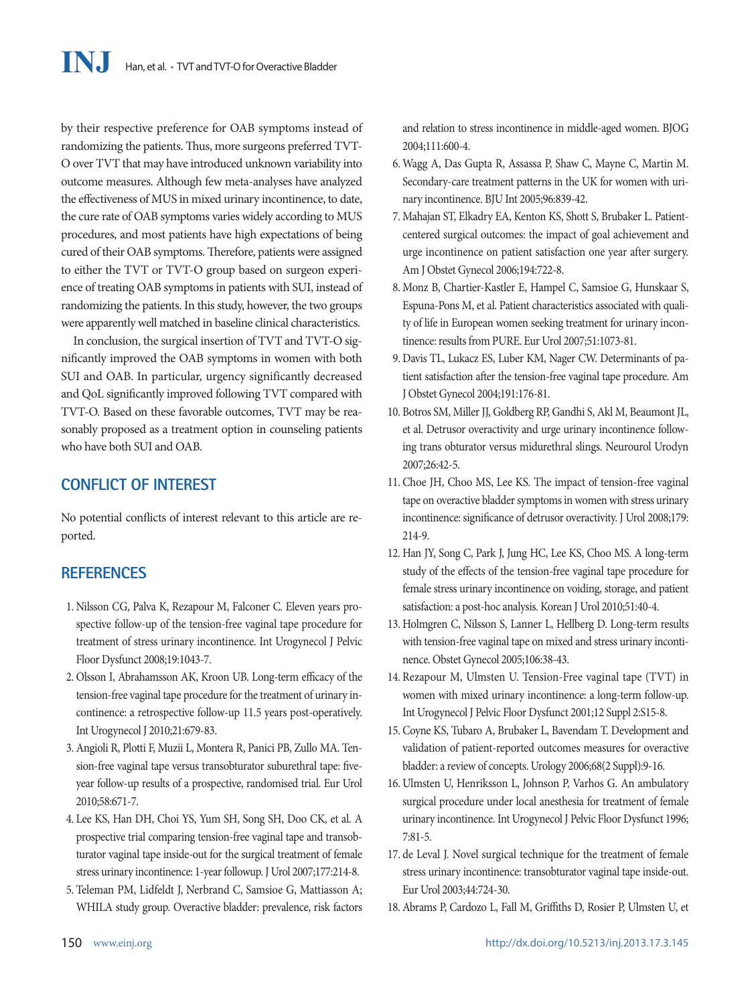by their respective preference for OAB symptoms instead of randomizing the patients. Thus, more surgeons preferred TVT-O over TVT that may have introduced unknown variability into outcome measures. Although few meta-analyses have analyzed the effectiveness of MUS in mixed urinary incontinence, to date, the cure rate of OAB symptoms varies widely according to MUS procedures, and most patients have high expectations of being cured of their OAB symptoms. Therefore, patients were assigned to either the TVT or TVT-O group based on surgeon experience of treating OAB symptoms in patients with SUI, instead of randomizing the patients. In this study, however, the two groups were apparently well matched in baseline clinical characteristics.

In conclusion, the surgical insertion of TVT and TVT-O significantly improved the OAB symptoms in women with both SUI and OAB. In particular, urgency significantly decreased and QoL significantly improved following TVT compared with TVT-O. Based on these favorable outcomes, TVT may be reasonably proposed as a treatment option in counseling patients who have both SUI and OAB.

# **CONFLICT OF INTEREST**

No potential conflicts of interest relevant to this article are reported.

# **REFERENCES**

- 1. Nilsson CG, Palva K, Rezapour M, Falconer C. Eleven years prospective follow-up of the tension-free vaginal tape procedure for treatment of stress urinary incontinence. Int Urogynecol J Pelvic Floor Dysfunct 2008;19:1043-7.
- 2. Olsson I, Abrahamsson AK, Kroon UB. Long-term efficacy of the tension-free vaginal tape procedure for the treatment of urinary incontinence: a retrospective follow-up 11.5 years post-operatively. Int Urogynecol J 2010;21:679-83.
- 3. Angioli R, Plotti F, Muzii L, Montera R, Panici PB, Zullo MA. Tension-free vaginal tape versus transobturator suburethral tape: fiveyear follow-up results of a prospective, randomised trial. Eur Urol 2010;58:671-7.
- 4. Lee KS, Han DH, Choi YS, Yum SH, Song SH, Doo CK, et al. A prospective trial comparing tension-free vaginal tape and transobturator vaginal tape inside-out for the surgical treatment of female stress urinary incontinence: 1-year followup. J Urol 2007;177:214-8.
- 5. Teleman PM, Lidfeldt J, Nerbrand C, Samsioe G, Mattiasson A; WHILA study group. Overactive bladder: prevalence, risk factors

and relation to stress incontinence in middle-aged women. BJOG 2004;111:600-4.

- 6. Wagg A, Das Gupta R, Assassa P, Shaw C, Mayne C, Martin M. Secondary-care treatment patterns in the UK for women with urinary incontinence. BJU Int 2005;96:839-42.
- 7. Mahajan ST, Elkadry EA, Kenton KS, Shott S, Brubaker L. Patientcentered surgical outcomes: the impact of goal achievement and urge incontinence on patient satisfaction one year after surgery. Am J Obstet Gynecol 2006;194:722-8.
- 8. Monz B, Chartier-Kastler E, Hampel C, Samsioe G, Hunskaar S, Espuna-Pons M, et al. Patient characteristics associated with quality of life in European women seeking treatment for urinary incontinence: results from PURE. Eur Urol 2007;51:1073-81.
- 9. Davis TL, Lukacz ES, Luber KM, Nager CW. Determinants of patient satisfaction after the tension-free vaginal tape procedure. Am J Obstet Gynecol 2004;191:176-81.
- 10. Botros SM, Miller JJ, Goldberg RP, Gandhi S, Akl M, Beaumont JL, et al. Detrusor overactivity and urge urinary incontinence following trans obturator versus midurethral slings. Neurourol Urodyn 2007;26:42-5.
- 11. Choe JH, Choo MS, Lee KS. The impact of tension-free vaginal tape on overactive bladder symptoms in women with stress urinary incontinence: significance of detrusor overactivity. J Urol 2008;179: 214-9.
- 12. Han JY, Song C, Park J, Jung HC, Lee KS, Choo MS. A long-term study of the effects of the tension-free vaginal tape procedure for female stress urinary incontinence on voiding, storage, and patient satisfaction: a post-hoc analysis. Korean J Urol 2010;51:40-4.
- 13. Holmgren C, Nilsson S, Lanner L, Hellberg D. Long-term results with tension-free vaginal tape on mixed and stress urinary incontinence. Obstet Gynecol 2005;106:38-43.
- 14. Rezapour M, Ulmsten U. Tension-Free vaginal tape (TVT) in women with mixed urinary incontinence: a long-term follow-up. Int Urogynecol J Pelvic Floor Dysfunct 2001;12 Suppl 2:S15-8.
- 15. Coyne KS, Tubaro A, Brubaker L, Bavendam T. Development and validation of patient-reported outcomes measures for overactive bladder: a review of concepts. Urology 2006;68(2 Suppl):9-16.
- 16. Ulmsten U, Henriksson L, Johnson P, Varhos G. An ambulatory surgical procedure under local anesthesia for treatment of female urinary incontinence. Int Urogynecol J Pelvic Floor Dysfunct 1996; 7:81-5.
- 17. de Leval J. Novel surgical technique for the treatment of female stress urinary incontinence: transobturator vaginal tape inside-out. Eur Urol 2003;44:724-30.
- 18. Abrams P, Cardozo L, Fall M, Griffiths D, Rosier P, Ulmsten U, et